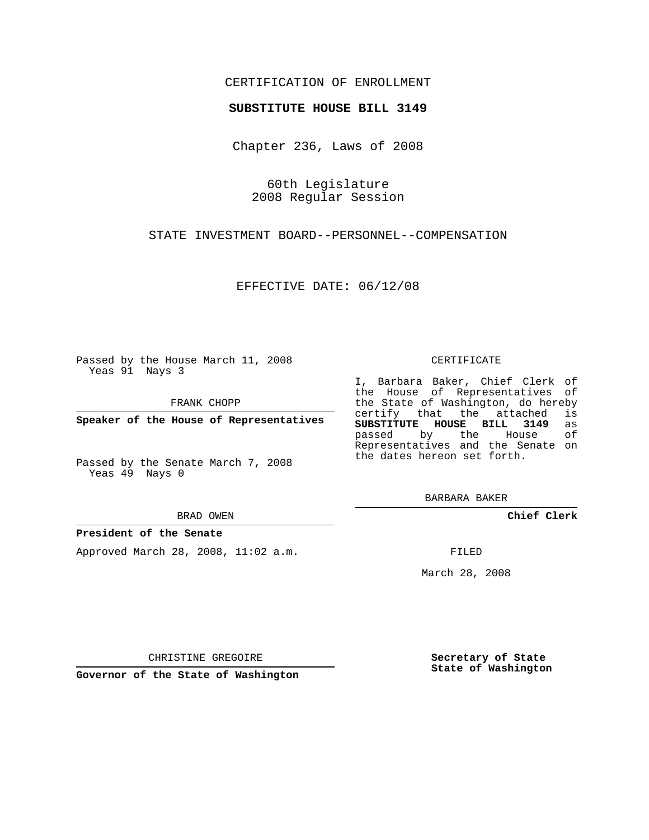## CERTIFICATION OF ENROLLMENT

#### **SUBSTITUTE HOUSE BILL 3149**

Chapter 236, Laws of 2008

60th Legislature 2008 Regular Session

STATE INVESTMENT BOARD--PERSONNEL--COMPENSATION

EFFECTIVE DATE: 06/12/08

Passed by the House March 11, 2008 Yeas 91 Nays 3

FRANK CHOPP

**Speaker of the House of Representatives**

Passed by the Senate March 7, 2008 Yeas 49 Nays 0

#### BRAD OWEN

#### **President of the Senate**

Approved March 28, 2008, 11:02 a.m.

#### CERTIFICATE

I, Barbara Baker, Chief Clerk of the House of Representatives of the State of Washington, do hereby<br>certify that the attached is certify that the attached **SUBSTITUTE HOUSE BILL 3149** as passed by the House Representatives and the Senate on the dates hereon set forth.

BARBARA BAKER

**Chief Clerk**

FILED

March 28, 2008

**Secretary of State State of Washington**

CHRISTINE GREGOIRE

**Governor of the State of Washington**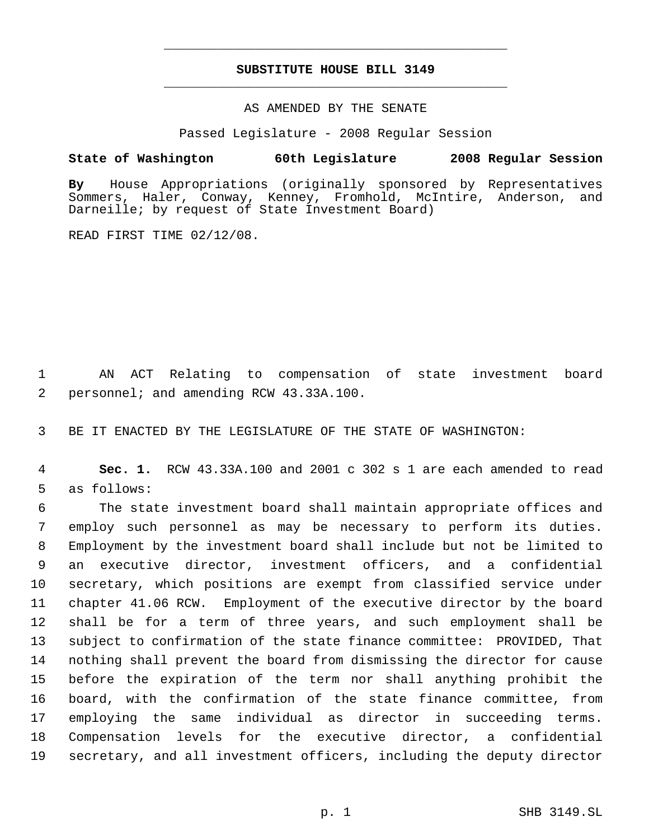## **SUBSTITUTE HOUSE BILL 3149** \_\_\_\_\_\_\_\_\_\_\_\_\_\_\_\_\_\_\_\_\_\_\_\_\_\_\_\_\_\_\_\_\_\_\_\_\_\_\_\_\_\_\_\_\_

\_\_\_\_\_\_\_\_\_\_\_\_\_\_\_\_\_\_\_\_\_\_\_\_\_\_\_\_\_\_\_\_\_\_\_\_\_\_\_\_\_\_\_\_\_

## AS AMENDED BY THE SENATE

Passed Legislature - 2008 Regular Session

## **State of Washington 60th Legislature 2008 Regular Session**

**By** House Appropriations (originally sponsored by Representatives Sommers, Haler, Conway, Kenney, Fromhold, McIntire, Anderson, and Darneille; by request of State Investment Board)

READ FIRST TIME 02/12/08.

 AN ACT Relating to compensation of state investment board personnel; and amending RCW 43.33A.100.

BE IT ENACTED BY THE LEGISLATURE OF THE STATE OF WASHINGTON:

 **Sec. 1.** RCW 43.33A.100 and 2001 c 302 s 1 are each amended to read as follows:

 The state investment board shall maintain appropriate offices and employ such personnel as may be necessary to perform its duties. Employment by the investment board shall include but not be limited to an executive director, investment officers, and a confidential secretary, which positions are exempt from classified service under chapter 41.06 RCW. Employment of the executive director by the board shall be for a term of three years, and such employment shall be subject to confirmation of the state finance committee: PROVIDED, That nothing shall prevent the board from dismissing the director for cause before the expiration of the term nor shall anything prohibit the board, with the confirmation of the state finance committee, from employing the same individual as director in succeeding terms. Compensation levels for the executive director, a confidential secretary, and all investment officers, including the deputy director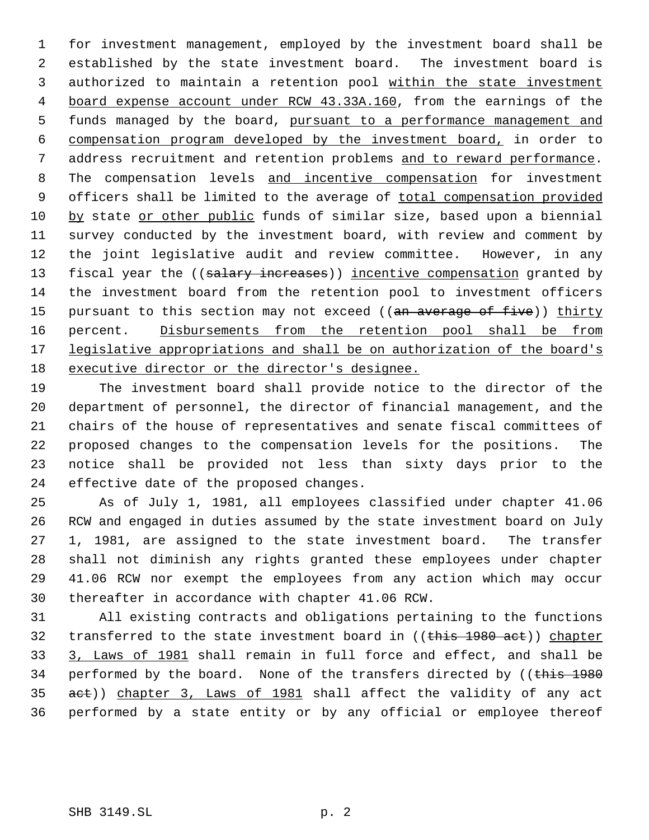for investment management, employed by the investment board shall be established by the state investment board. The investment board is 3 authorized to maintain a retention pool within the state investment board expense account under RCW 43.33A.160, from the earnings of the funds managed by the board, pursuant to a performance management and compensation program developed by the investment board, in order to address recruitment and retention problems and to reward performance. The compensation levels and incentive compensation for investment 9 officers shall be limited to the average of total compensation provided by state or other public funds of similar size, based upon a biennial survey conducted by the investment board, with review and comment by the joint legislative audit and review committee. However, in any 13 fiscal year the ((salary increases)) incentive compensation granted by the investment board from the retention pool to investment officers 15 pursuant to this section may not exceed ((an average of five)) thirty 16 percent. Disbursements from the retention pool shall be from 17 legislative appropriations and shall be on authorization of the board's executive director or the director's designee.

 The investment board shall provide notice to the director of the department of personnel, the director of financial management, and the chairs of the house of representatives and senate fiscal committees of proposed changes to the compensation levels for the positions. The notice shall be provided not less than sixty days prior to the effective date of the proposed changes.

 As of July 1, 1981, all employees classified under chapter 41.06 RCW and engaged in duties assumed by the state investment board on July 1, 1981, are assigned to the state investment board. The transfer shall not diminish any rights granted these employees under chapter 41.06 RCW nor exempt the employees from any action which may occur thereafter in accordance with chapter 41.06 RCW.

 All existing contracts and obligations pertaining to the functions 32 transferred to the state investment board in ((this 1980 act)) chapter 3, Laws of 1981 shall remain in full force and effect, and shall be 34 performed by the board. None of the transfers directed by ((this 1980) 35 aet)) chapter 3, Laws of 1981 shall affect the validity of any act performed by a state entity or by any official or employee thereof